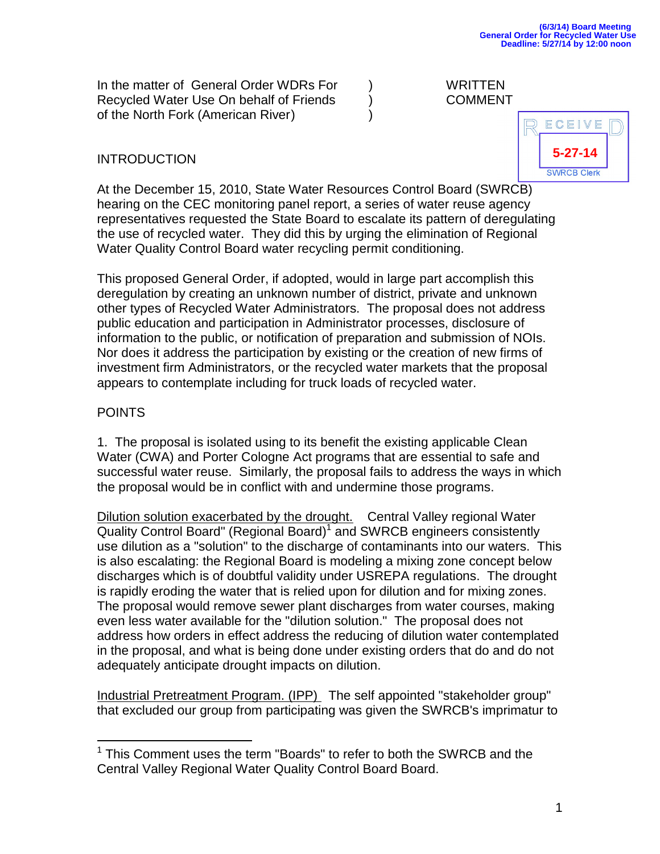In the matter of General Order WDRs For ) WRITTEN Recycled Water Use On behalf of Friends (a) COMMENT of the North Fork (American River) )

## INTRODUCTION



At the December 15, 2010, State Water Resources Control Board (SWRCB) hearing on the CEC monitoring panel report, a series of water reuse agency representatives requested the State Board to escalate its pattern of deregulating the use of recycled water. They did this by urging the elimination of Regional Water Quality Control Board water recycling permit conditioning.

This proposed General Order, if adopted, would in large part accomplish this deregulation by creating an unknown number of district, private and unknown other types of Recycled Water Administrators. The proposal does not address public education and participation in Administrator processes, disclosure of information to the public, or notification of preparation and submission of NOIs. Nor does it address the participation by existing or the creation of new firms of investment firm Administrators, or the recycled water markets that the proposal appears to contemplate including for truck loads of recycled water.

## POINTS

 $\overline{a}$ 

1. The proposal is isolated using to its benefit the existing applicable Clean Water (CWA) and Porter Cologne Act programs that are essential to safe and successful water reuse. Similarly, the proposal fails to address the ways in which the proposal would be in conflict with and undermine those programs.

Dilution solution exacerbated by the drought. Central Valley regional Water Quality Control Board" (Regional Board)<sup>1</sup> and SWRCB engineers consistently use dilution as a "solution" to the discharge of contaminants into our waters. This is also escalating: the Regional Board is modeling a mixing zone concept below discharges which is of doubtful validity under USREPA regulations. The drought is rapidly eroding the water that is relied upon for dilution and for mixing zones. The proposal would remove sewer plant discharges from water courses, making even less water available for the "dilution solution." The proposal does not address how orders in effect address the reducing of dilution water contemplated in the proposal, and what is being done under existing orders that do and do not adequately anticipate drought impacts on dilution.

Industrial Pretreatment Program. (IPP) The self appointed "stakeholder group" that excluded our group from participating was given the SWRCB's imprimatur to

<sup>&</sup>lt;sup>1</sup> This Comment uses the term "Boards" to refer to both the SWRCB and the Central Valley Regional Water Quality Control Board Board.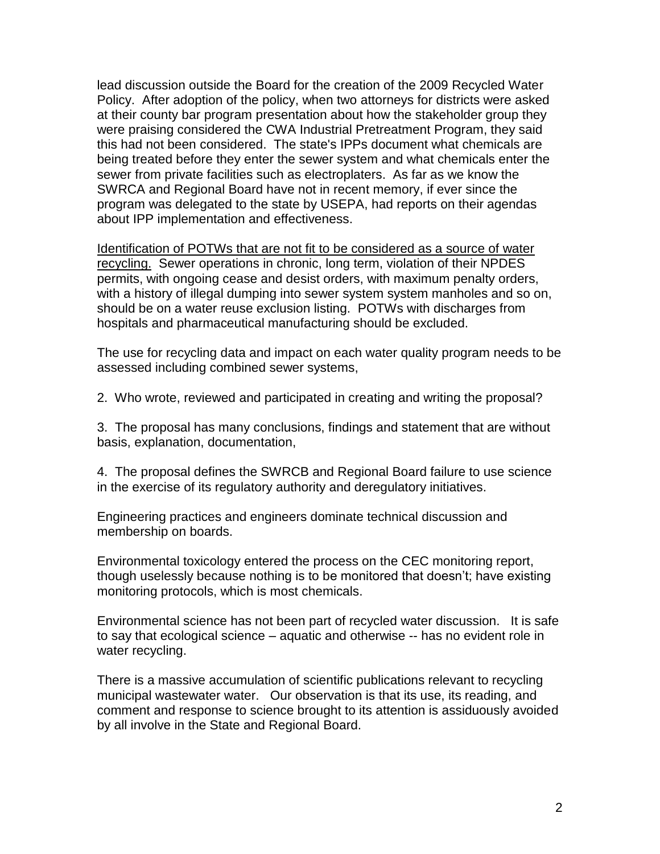lead discussion outside the Board for the creation of the 2009 Recycled Water Policy. After adoption of the policy, when two attorneys for districts were asked at their county bar program presentation about how the stakeholder group they were praising considered the CWA Industrial Pretreatment Program, they said this had not been considered. The state's IPPs document what chemicals are being treated before they enter the sewer system and what chemicals enter the sewer from private facilities such as electroplaters. As far as we know the SWRCA and Regional Board have not in recent memory, if ever since the program was delegated to the state by USEPA, had reports on their agendas about IPP implementation and effectiveness.

Identification of POTWs that are not fit to be considered as a source of water recycling. Sewer operations in chronic, long term, violation of their NPDES permits, with ongoing cease and desist orders, with maximum penalty orders, with a history of illegal dumping into sewer system system manholes and so on, should be on a water reuse exclusion listing. POTWs with discharges from hospitals and pharmaceutical manufacturing should be excluded.

The use for recycling data and impact on each water quality program needs to be assessed including combined sewer systems,

2. Who wrote, reviewed and participated in creating and writing the proposal?

3. The proposal has many conclusions, findings and statement that are without basis, explanation, documentation,

4. The proposal defines the SWRCB and Regional Board failure to use science in the exercise of its regulatory authority and deregulatory initiatives.

Engineering practices and engineers dominate technical discussion and membership on boards.

Environmental toxicology entered the process on the CEC monitoring report, though uselessly because nothing is to be monitored that doesn't; have existing monitoring protocols, which is most chemicals.

Environmental science has not been part of recycled water discussion. It is safe to say that ecological science – aquatic and otherwise -- has no evident role in water recycling.

There is a massive accumulation of scientific publications relevant to recycling municipal wastewater water. Our observation is that its use, its reading, and comment and response to science brought to its attention is assiduously avoided by all involve in the State and Regional Board.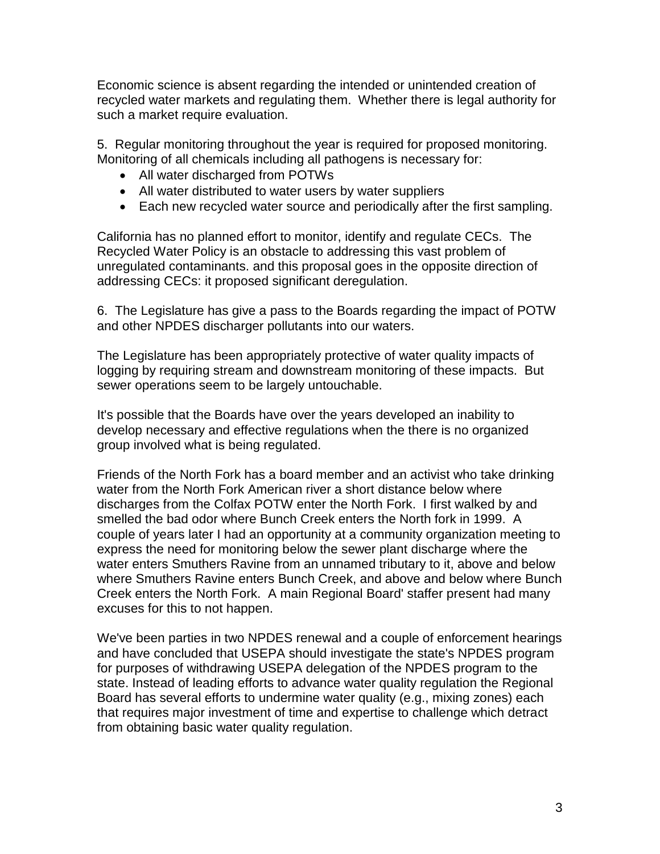Economic science is absent regarding the intended or unintended creation of recycled water markets and regulating them. Whether there is legal authority for such a market require evaluation.

5. Regular monitoring throughout the year is required for proposed monitoring. Monitoring of all chemicals including all pathogens is necessary for:

- All water discharged from POTWs
- All water distributed to water users by water suppliers
- Each new recycled water source and periodically after the first sampling.

California has no planned effort to monitor, identify and regulate CECs. The Recycled Water Policy is an obstacle to addressing this vast problem of unregulated contaminants. and this proposal goes in the opposite direction of addressing CECs: it proposed significant deregulation.

6. The Legislature has give a pass to the Boards regarding the impact of POTW and other NPDES discharger pollutants into our waters.

The Legislature has been appropriately protective of water quality impacts of logging by requiring stream and downstream monitoring of these impacts. But sewer operations seem to be largely untouchable.

It's possible that the Boards have over the years developed an inability to develop necessary and effective regulations when the there is no organized group involved what is being regulated.

Friends of the North Fork has a board member and an activist who take drinking water from the North Fork American river a short distance below where discharges from the Colfax POTW enter the North Fork. I first walked by and smelled the bad odor where Bunch Creek enters the North fork in 1999. A couple of years later I had an opportunity at a community organization meeting to express the need for monitoring below the sewer plant discharge where the water enters Smuthers Ravine from an unnamed tributary to it, above and below where Smuthers Ravine enters Bunch Creek, and above and below where Bunch Creek enters the North Fork. A main Regional Board' staffer present had many excuses for this to not happen.

We've been parties in two NPDES renewal and a couple of enforcement hearings and have concluded that USEPA should investigate the state's NPDES program for purposes of withdrawing USEPA delegation of the NPDES program to the state. Instead of leading efforts to advance water quality regulation the Regional Board has several efforts to undermine water quality (e.g., mixing zones) each that requires major investment of time and expertise to challenge which detract from obtaining basic water quality regulation.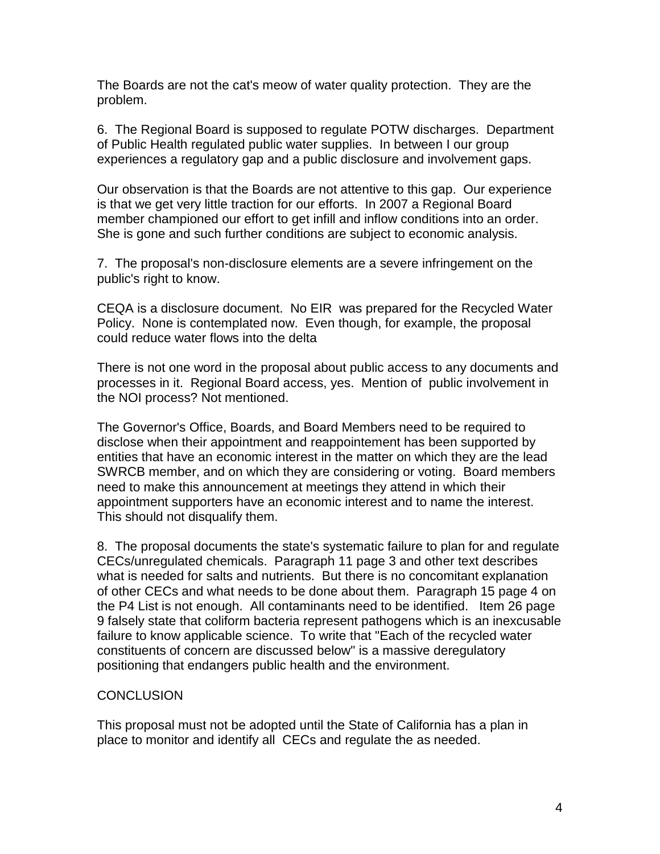The Boards are not the cat's meow of water quality protection. They are the problem.

6. The Regional Board is supposed to regulate POTW discharges. Department of Public Health regulated public water supplies. In between I our group experiences a regulatory gap and a public disclosure and involvement gaps.

Our observation is that the Boards are not attentive to this gap. Our experience is that we get very little traction for our efforts. In 2007 a Regional Board member championed our effort to get infill and inflow conditions into an order. She is gone and such further conditions are subject to economic analysis.

7. The proposal's non-disclosure elements are a severe infringement on the public's right to know.

CEQA is a disclosure document. No EIR was prepared for the Recycled Water Policy. None is contemplated now. Even though, for example, the proposal could reduce water flows into the delta

There is not one word in the proposal about public access to any documents and processes in it. Regional Board access, yes. Mention of public involvement in the NOI process? Not mentioned.

The Governor's Office, Boards, and Board Members need to be required to disclose when their appointment and reappointement has been supported by entities that have an economic interest in the matter on which they are the lead SWRCB member, and on which they are considering or voting. Board members need to make this announcement at meetings they attend in which their appointment supporters have an economic interest and to name the interest. This should not disqualify them.

8. The proposal documents the state's systematic failure to plan for and regulate CECs/unregulated chemicals. Paragraph 11 page 3 and other text describes what is needed for salts and nutrients. But there is no concomitant explanation of other CECs and what needs to be done about them. Paragraph 15 page 4 on the P4 List is not enough. All contaminants need to be identified. Item 26 page 9 falsely state that coliform bacteria represent pathogens which is an inexcusable failure to know applicable science. To write that "Each of the recycled water constituents of concern are discussed below" is a massive deregulatory positioning that endangers public health and the environment.

## CONCLUSION

This proposal must not be adopted until the State of California has a plan in place to monitor and identify all CECs and regulate the as needed.